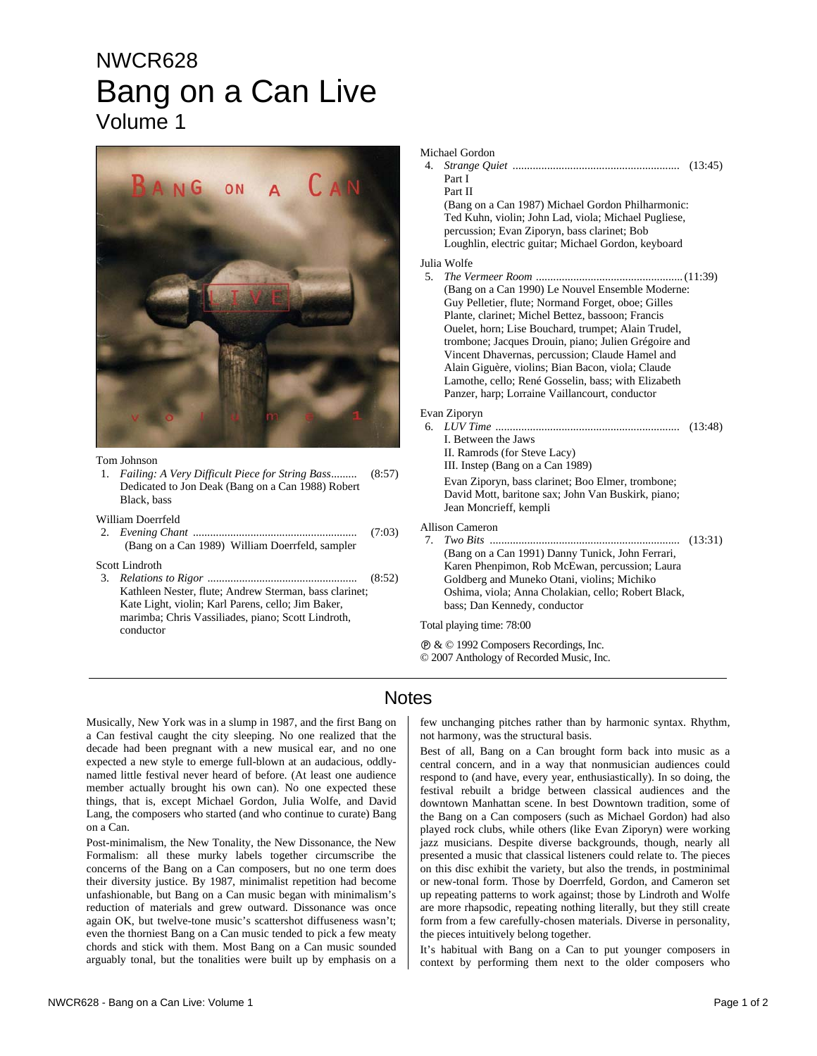## NWCR628 Bang on a Can Live Volume 1



## Tom Johnson

1. *Failing: A Very Difficult Piece for String Bass.........* (8:57) Dedicated to Jon Deak (Bang on a Can 1988) Robert Black, bass

William Doerrfeld

2. *Evening Chant .........................................................* (7:03) (Bang on a Can 1989) William Doerrfeld, sampler

Scott Lindroth

3. *Relations to Rigor* .................................................... (8:52) Kathleen Nester, flute; Andrew Sterman, bass clarinet; Kate Light, violin; Karl Parens, cello; Jim Baker, marimba; Chris Vassiliades, piano; Scott Lindroth, conductor

| Michael Gordon<br>4.<br>Part I<br>Part II                                                                                                                                                                                                                                                                                                                                                                                                                                                                        |         |
|------------------------------------------------------------------------------------------------------------------------------------------------------------------------------------------------------------------------------------------------------------------------------------------------------------------------------------------------------------------------------------------------------------------------------------------------------------------------------------------------------------------|---------|
| (Bang on a Can 1987) Michael Gordon Philharmonic:<br>Ted Kuhn, violin; John Lad, viola; Michael Pugliese,<br>percussion; Evan Ziporyn, bass clarinet; Bob<br>Loughlin, electric guitar; Michael Gordon, keyboard                                                                                                                                                                                                                                                                                                 |         |
| Julia Wolfe<br>5.<br>(Bang on a Can 1990) Le Nouvel Ensemble Moderne:<br>Guy Pelletier, flute; Normand Forget, oboe; Gilles<br>Plante, clarinet; Michel Bettez, bassoon; Francis<br>Ouelet, horn; Lise Bouchard, trumpet; Alain Trudel,<br>trombone; Jacques Drouin, piano; Julien Grégoire and<br>Vincent Dhavernas, percussion; Claude Hamel and<br>Alain Giguère, violins; Bian Bacon, viola; Claude<br>Lamothe, cello; René Gosselin, bass; with Elizabeth<br>Panzer, harp; Lorraine Vaillancourt, conductor |         |
| Evan Ziporyn<br>6.<br>I. Between the Jaws<br>II. Ramrods (for Steve Lacy)<br>III. Instep (Bang on a Can 1989)<br>Evan Ziporyn, bass clarinet; Boo Elmer, trombone;<br>David Mott, baritone sax; John Van Buskirk, piano;<br>Jean Moncrieff, kempli                                                                                                                                                                                                                                                               |         |
| Allison Cameron<br>7.<br>(Bang on a Can 1991) Danny Tunick, John Ferrari,<br>Karen Phenpimon, Rob McEwan, percussion; Laura<br>Goldberg and Muneko Otani, violins; Michiko<br>Oshima, viola; Anna Cholakian, cello; Robert Black,<br>bass; Dan Kennedy, conductor                                                                                                                                                                                                                                                | (13:31) |
| Total playing time: 78:00                                                                                                                                                                                                                                                                                                                                                                                                                                                                                        |         |

Ê & © 1992 Composers Recordings, Inc. © 2007 Anthology of Recorded Music, Inc.

## **Notes**

Musically, New York was in a slump in 1987, and the first Bang on a Can festival caught the city sleeping. No one realized that the decade had been pregnant with a new musical ear, and no one expected a new style to emerge full-blown at an audacious, oddlynamed little festival never heard of before. (At least one audience member actually brought his own can). No one expected these things, that is, except Michael Gordon, Julia Wolfe, and David Lang, the composers who started (and who continue to curate) Bang on a Can.

Post-minimalism, the New Tonality, the New Dissonance, the New Formalism: all these murky labels together circumscribe the concerns of the Bang on a Can composers, but no one term does their diversity justice. By 1987, minimalist repetition had become unfashionable, but Bang on a Can music began with minimalism's reduction of materials and grew outward. Dissonance was once again OK, but twelve-tone music's scattershot diffuseness wasn't; even the thorniest Bang on a Can music tended to pick a few meaty chords and stick with them. Most Bang on a Can music sounded arguably tonal, but the tonalities were built up by emphasis on a

few unchanging pitches rather than by harmonic syntax. Rhythm, not harmony, was the structural basis.

Best of all, Bang on a Can brought form back into music as a central concern, and in a way that nonmusician audiences could respond to (and have, every year, enthusiastically). In so doing, the festival rebuilt a bridge between classical audiences and the downtown Manhattan scene. In best Downtown tradition, some of the Bang on a Can composers (such as Michael Gordon) had also played rock clubs, while others (like Evan Ziporyn) were working jazz musicians. Despite diverse backgrounds, though, nearly all presented a music that classical listeners could relate to. The pieces on this disc exhibit the variety, but also the trends, in postminimal or new-tonal form. Those by Doerrfeld, Gordon, and Cameron set up repeating patterns to work against; those by Lindroth and Wolfe are more rhapsodic, repeating nothing literally, but they still create form from a few carefully-chosen materials. Diverse in personality, the pieces intuitively belong together.

It's habitual with Bang on a Can to put younger composers in context by performing them next to the older composers who